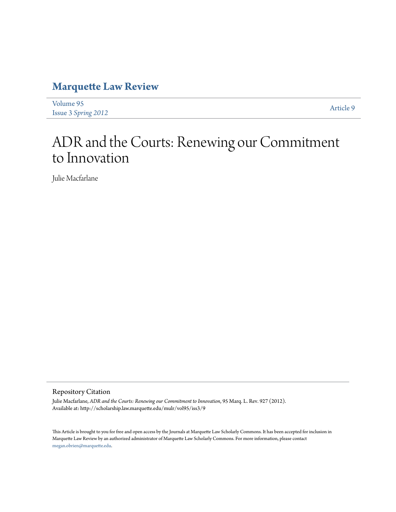# **[Marquette Law Review](http://scholarship.law.marquette.edu/mulr)**

| Volume 95                  |  | Article 9 |
|----------------------------|--|-----------|
| <b>Issue 3 Spring 2012</b> |  |           |

# ADR and the Courts: Renewing our Commitment to Innovation

Julie Macfarlane

#### Repository Citation

Julie Macfarlane, *ADR and the Courts: Renewing our Commitment to Innovation*, 95 Marq. L. Rev. 927 (2012). Available at: http://scholarship.law.marquette.edu/mulr/vol95/iss3/9

This Article is brought to you for free and open access by the Journals at Marquette Law Scholarly Commons. It has been accepted for inclusion in Marquette Law Review by an authorized administrator of Marquette Law Scholarly Commons. For more information, please contact [megan.obrien@marquette.edu.](mailto:megan.obrien@marquette.edu)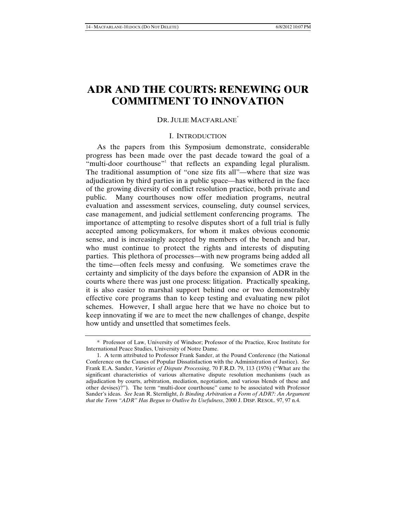## **ADR AND THE COURTS: RENEWING OUR COMMITMENT TO INNOVATION**

#### DR. JULIE MACFARLANE<sup>\*</sup>

#### I. INTRODUCTION

As the papers from this Symposium demonstrate, considerable progress has been made over the past decade toward the goal of a "multi-door courthouse" that reflects an expanding legal pluralism. The traditional assumption of "one size fits all"—where that size was adjudication by third parties in a public space—has withered in the face of the growing diversity of conflict resolution practice, both private and public. Many courthouses now offer mediation programs, neutral evaluation and assessment services, counseling, duty counsel services, case management, and judicial settlement conferencing programs. The importance of attempting to resolve disputes short of a full trial is fully accepted among policymakers, for whom it makes obvious economic sense, and is increasingly accepted by members of the bench and bar, who must continue to protect the rights and interests of disputing parties. This plethora of processes—with new programs being added all the time—often feels messy and confusing. We sometimes crave the certainty and simplicity of the days before the expansion of ADR in the courts where there was just one process: litigation. Practically speaking, it is also easier to marshal support behind one or two demonstrably effective core programs than to keep testing and evaluating new pilot schemes. However, I shall argue here that we have no choice but to keep innovating if we are to meet the new challenges of change, despite how untidy and unsettled that sometimes feels.

<sup>\*</sup> Professor of Law, University of Windsor; Professor of the Practice, Kroc Institute for International Peace Studies, University of Notre Dame.

<sup>1.</sup> A term attributed to Professor Frank Sander, at the Pound Conference (the National Conference on the Causes of Popular Dissatisfaction with the Administration of Justice). *See* Frank E.A. Sander, *Varieties of Dispute Processing*, 70 F.R.D. 79, 113 (1976) ("What are the significant characteristics of various alternative dispute resolution mechanisms (such as adjudication by courts, arbitration, mediation, negotiation, and various blends of these and other devises)?"). The term "multi-door courthouse" came to be associated with Professor Sander's ideas. *See* Jean R. Sternlight, *Is Binding Arbitration a Form of ADR?: An Argument that the Term "ADR" Has Begun to Outlive Its Usefulness*, 2000 J. DISP. RESOL. 97, 97 n.4.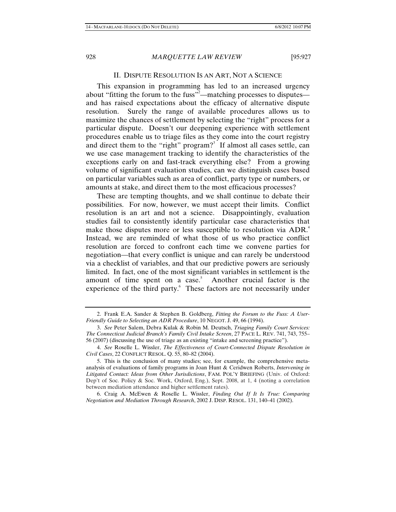#### II. DISPUTE RESOLUTION IS AN ART, NOT A SCIENCE

This expansion in programming has led to an increased urgency about "fitting the forum to the fuss"<sup>2</sup>—matching processes to disputes and has raised expectations about the efficacy of alternative dispute resolution. Surely the range of available procedures allows us to maximize the chances of settlement by selecting the "right" process for a particular dispute. Doesn't our deepening experience with settlement procedures enable us to triage files as they come into the court registry and direct them to the "right" program?<sup>3</sup> If almost all cases settle, can we use case management tracking to identify the characteristics of the exceptions early on and fast-track everything else? From a growing volume of significant evaluation studies, can we distinguish cases based on particular variables such as area of conflict, party type or numbers, or amounts at stake, and direct them to the most efficacious processes?

These are tempting thoughts, and we shall continue to debate their possibilities. For now, however, we must accept their limits. Conflict resolution is an art and not a science. Disappointingly, evaluation studies fail to consistently identify particular case characteristics that make those disputes more or less susceptible to resolution via ADR.<sup>4</sup> Instead, we are reminded of what those of us who practice conflict resolution are forced to confront each time we convene parties for negotiation—that every conflict is unique and can rarely be understood via a checklist of variables, and that our predictive powers are seriously limited. In fact, one of the most significant variables in settlement is the amount of time spent on a case.<sup>5</sup> Another crucial factor is the experience of the third party.<sup>6</sup> These factors are not necessarily under

<sup>2.</sup> Frank E.A. Sander & Stephen B. Goldberg, *Fitting the Forum to the Fuss: A User-Friendly Guide to Selecting an ADR Procedure*, 10 NEGOT. J. 49, 66 (1994).

<sup>3.</sup> *See* Peter Salem, Debra Kulak & Robin M. Deutsch, *Triaging Family Court Services: The Connecticut Judicial Branch's Family Civil Intake Screen*, 27 PACE L. REV. 741, 743, 755– 56 (2007) (discussing the use of triage as an existing "intake and screening practice").

<sup>4.</sup> *See* Roselle L. Wissler, *The Effectiveness of Court-Connected Dispute Resolution in Civil Cases*, 22 CONFLICT RESOL. Q. 55, 80–82 (2004).

<sup>5.</sup> This is the conclusion of many studies; see, for example, the comprehensive metaanalysis of evaluations of family programs in Joan Hunt & Ceridwen Roberts, *Intervening in Litigated Contact: Ideas from Other Jurisdictions*, FAM. POL'Y BRIEFING (Univ. of Oxford: Dep't of Soc. Policy & Soc. Work, Oxford, Eng.), Sept. 2008, at 1, 4 (noting a correlation between mediation attendance and higher settlement rates).

<sup>6.</sup> Craig A. McEwen & Roselle L. Wissler, *Finding Out If It Is True: Comparing Negotiation and Mediation Through Research*, 2002 J. DISP. RESOL. 131, 140–41 (2002).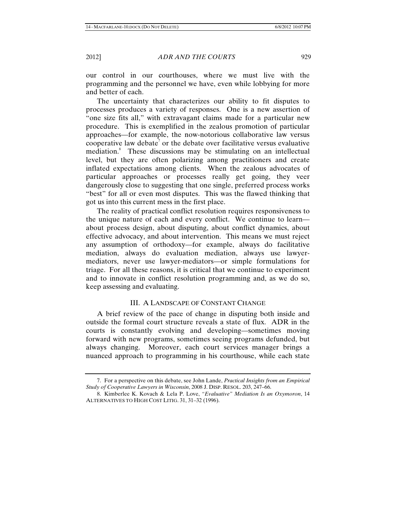our control in our courthouses, where we must live with the programming and the personnel we have, even while lobbying for more and better of each.

The uncertainty that characterizes our ability to fit disputes to processes produces a variety of responses. One is a new assertion of "one size fits all," with extravagant claims made for a particular new procedure. This is exemplified in the zealous promotion of particular approaches—for example, the now-notorious collaborative law versus cooperative law debate<sup>7</sup> or the debate over facilitative versus evaluative mediation.<sup>8</sup> These discussions may be stimulating on an intellectual level, but they are often polarizing among practitioners and create inflated expectations among clients. When the zealous advocates of particular approaches or processes really get going, they veer dangerously close to suggesting that one single, preferred process works "best" for all or even most disputes. This was the flawed thinking that got us into this current mess in the first place.

The reality of practical conflict resolution requires responsiveness to the unique nature of each and every conflict. We continue to learn about process design, about disputing, about conflict dynamics, about effective advocacy, and about intervention. This means we must reject any assumption of orthodoxy—for example, always do facilitative mediation, always do evaluation mediation, always use lawyermediators, never use lawyer-mediators—or simple formulations for triage. For all these reasons, it is critical that we continue to experiment and to innovate in conflict resolution programming and, as we do so, keep assessing and evaluating.

#### III. A LANDSCAPE OF CONSTANT CHANGE

A brief review of the pace of change in disputing both inside and outside the formal court structure reveals a state of flux. ADR in the courts is constantly evolving and developing—sometimes moving forward with new programs, sometimes seeing programs defunded, but always changing. Moreover, each court services manager brings a nuanced approach to programming in his courthouse, while each state

<sup>7.</sup> For a perspective on this debate, see John Lande, *Practical Insights from an Empirical Study of Cooperative Lawyers in Wisconsin*, 2008 J. DISP. RESOL. 203, 247–66.

<sup>8.</sup> Kimberlee K. Kovach & Lela P. Love, *"Evaluative" Mediation Is an Oxymoron*, 14 ALTERNATIVES TO HIGH COST LITIG. 31, 31–32 (1996).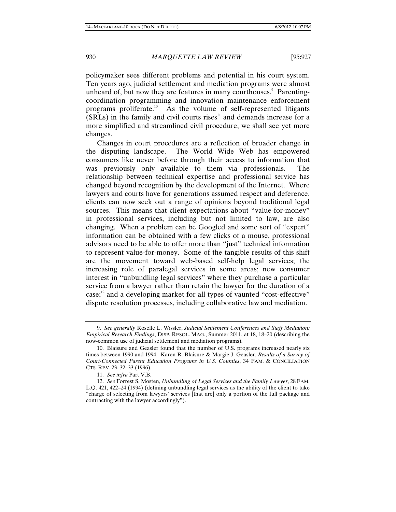policymaker sees different problems and potential in his court system. Ten years ago, judicial settlement and mediation programs were almost unheard of, but now they are features in many courthouses.<sup>9</sup> Parentingcoordination programming and innovation maintenance enforcement programs proliferate.<sup>10</sup> As the volume of self-represented litigants  $(SRLs)$  in the family and civil courts rises<sup>11</sup> and demands increase for a more simplified and streamlined civil procedure, we shall see yet more changes.

Changes in court procedures are a reflection of broader change in the disputing landscape. The World Wide Web has empowered consumers like never before through their access to information that was previously only available to them via professionals. The relationship between technical expertise and professional service has changed beyond recognition by the development of the Internet. Where lawyers and courts have for generations assumed respect and deference, clients can now seek out a range of opinions beyond traditional legal sources. This means that client expectations about "value-for-money" in professional services, including but not limited to law, are also changing. When a problem can be Googled and some sort of "expert" information can be obtained with a few clicks of a mouse, professional advisors need to be able to offer more than "just" technical information to represent value-for-money. Some of the tangible results of this shift are the movement toward web-based self-help legal services; the increasing role of paralegal services in some areas; new consumer interest in "unbundling legal services" where they purchase a particular service from a lawyer rather than retain the lawyer for the duration of a  $case; ^{12}$  and a developing market for all types of vaunted "cost-effective" dispute resolution processes, including collaborative law and mediation.

<sup>9.</sup> *See generally* Roselle L. Wissler, *Judicial Settlement Conferences and Staff Mediation: Empirical Research Findings*, DISP. RESOL. MAG., Summer 2011, at 18, 18–20 (describing the now-common use of judicial settlement and mediation programs).

<sup>10.</sup> Blaisure and Geasler found that the number of U.S. programs increased nearly six times between 1990 and 1994. Karen R. Blaisure & Margie J. Geasler, *Results of a Survey of Court-Connected Parent Education Programs in U.S. Counties*, 34 FAM. & CONCILIATION CTS. REV. 23, 32–33 (1996).

<sup>11.</sup> *See infra* Part V.B.

<sup>12.</sup> *See* Forrest S. Mosten, *Unbundling of Legal Services and the Family Lawyer*, 28 FAM. L.Q. 421, 422–24 (1994) (defining unbundling legal services as the ability of the client to take "charge of selecting from lawyers' services [that are] only a portion of the full package and contracting with the lawyer accordingly").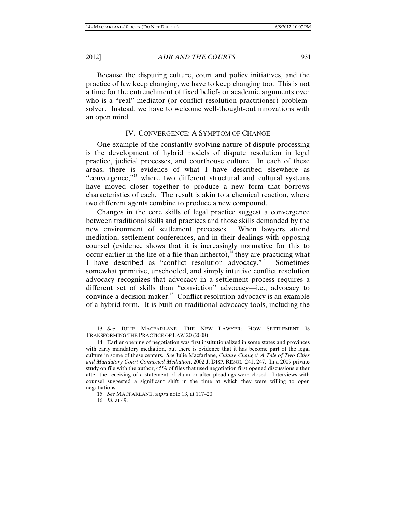Because the disputing culture, court and policy initiatives, and the practice of law keep changing, we have to keep changing too. This is not a time for the entrenchment of fixed beliefs or academic arguments over who is a "real" mediator (or conflict resolution practitioner) problemsolver. Instead, we have to welcome well-thought-out innovations with an open mind.

#### IV. CONVERGENCE: A SYMPTOM OF CHANGE

One example of the constantly evolving nature of dispute processing is the development of hybrid models of dispute resolution in legal practice, judicial processes, and courthouse culture. In each of these areas, there is evidence of what I have described elsewhere as "convergence,"<sup>13</sup> where two different structural and cultural systems have moved closer together to produce a new form that borrows characteristics of each. The result is akin to a chemical reaction, where two different agents combine to produce a new compound.

Changes in the core skills of legal practice suggest a convergence between traditional skills and practices and those skills demanded by the new environment of settlement processes. When lawyers attend mediation, settlement conferences, and in their dealings with opposing counsel (evidence shows that it is increasingly normative for this to occur earlier in the life of a file than hitherto),<sup>14</sup> they are practicing what I have described as "conflict resolution advocacy."<sup>15</sup> Sometimes somewhat primitive, unschooled, and simply intuitive conflict resolution advocacy recognizes that advocacy in a settlement process requires a different set of skills than "conviction" advocacy—i.e., advocacy to convince a decision-maker.<sup>16</sup> Conflict resolution advocacy is an example of a hybrid form. It is built on traditional advocacy tools, including the

<sup>13.</sup> *See* JULIE MACFARLANE, THE NEW LAWYER: HOW SETTLEMENT IS TRANSFORMING THE PRACTICE OF LAW 20 (2008).

<sup>14.</sup> Earlier opening of negotiation was first institutionalized in some states and provinces with early mandatory mediation, but there is evidence that it has become part of the legal culture in some of these centers. *See* Julie Macfarlane, *Culture Change? A Tale of Two Cities and Mandatory Court-Connected Mediation*, 2002 J. DISP. RESOL. 241, 247. In a 2009 private study on file with the author, 45% of files that used negotiation first opened discussions either after the receiving of a statement of claim or after pleadings were closed. Interviews with counsel suggested a significant shift in the time at which they were willing to open negotiations.

<sup>15.</sup> *See* MACFARLANE, *supra* note 13, at 117–20.

<sup>16.</sup> *Id.* at 49.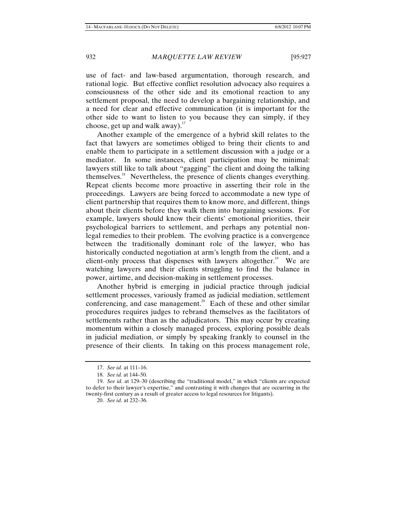use of fact- and law-based argumentation, thorough research, and rational logic. But effective conflict resolution advocacy also requires a consciousness of the other side and its emotional reaction to any settlement proposal, the need to develop a bargaining relationship, and a need for clear and effective communication (it is important for the other side to want to listen to you because they can simply, if they choose, get up and walk away). $17$ 

Another example of the emergence of a hybrid skill relates to the fact that lawyers are sometimes obliged to bring their clients to and enable them to participate in a settlement discussion with a judge or a mediator. In some instances, client participation may be minimal: lawyers still like to talk about "gagging" the client and doing the talking themselves.<sup>18</sup> Nevertheless, the presence of clients changes everything. Repeat clients become more proactive in asserting their role in the proceedings. Lawyers are being forced to accommodate a new type of client partnership that requires them to know more, and different, things about their clients before they walk them into bargaining sessions. For example, lawyers should know their clients' emotional priorities, their psychological barriers to settlement, and perhaps any potential nonlegal remedies to their problem. The evolving practice is a convergence between the traditionally dominant role of the lawyer, who has historically conducted negotiation at arm's length from the client, and a client-only process that dispenses with lawyers altogether.<sup>19</sup> We are watching lawyers and their clients struggling to find the balance in power, airtime, and decision-making in settlement processes.

Another hybrid is emerging in judicial practice through judicial settlement processes, variously framed as judicial mediation, settlement conferencing, and case management.<sup>20</sup> Each of these and other similar procedures requires judges to rebrand themselves as the facilitators of settlements rather than as the adjudicators. This may occur by creating momentum within a closely managed process, exploring possible deals in judicial mediation, or simply by speaking frankly to counsel in the presence of their clients. In taking on this process management role,

<sup>17.</sup> *See id.* at 111–16.

<sup>18.</sup> *See id.* at 144–50.

<sup>19.</sup> *See id.* at 129–30 (describing the "traditional model," in which "clients are expected to defer to their lawyer's expertise," and contrasting it with changes that are occurring in the twenty-first century as a result of greater access to legal resources for litigants).

<sup>20.</sup> *See id.* at 232–36.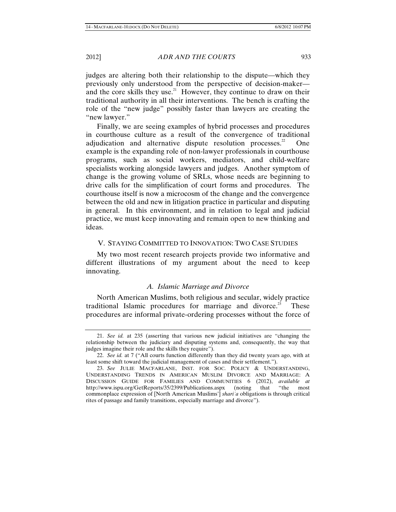judges are altering both their relationship to the dispute—which they previously only understood from the perspective of decision-maker and the core skills they use.<sup>21</sup> However, they continue to draw on their traditional authority in all their interventions. The bench is crafting the role of the "new judge" possibly faster than lawyers are creating the "new lawyer."

Finally, we are seeing examples of hybrid processes and procedures in courthouse culture as a result of the convergence of traditional adjudication and alternative dispute resolution processes.<sup>22</sup> One example is the expanding role of non-lawyer professionals in courthouse programs, such as social workers, mediators, and child-welfare specialists working alongside lawyers and judges. Another symptom of change is the growing volume of SRLs, whose needs are beginning to drive calls for the simplification of court forms and procedures. The courthouse itself is now a microcosm of the change and the convergence between the old and new in litigation practice in particular and disputing in general. In this environment, and in relation to legal and judicial practice, we must keep innovating and remain open to new thinking and ideas.

#### V. STAYING COMMITTED TO INNOVATION: TWO CASE STUDIES

My two most recent research projects provide two informative and different illustrations of my argument about the need to keep innovating.

#### *A. Islamic Marriage and Divorce*

North American Muslims, both religious and secular, widely practice traditional Islamic procedures for marriage and divorce.<sup>23</sup> These procedures are informal private-ordering processes without the force of

<sup>21.</sup> *See id.* at 235 (asserting that various new judicial initiatives are "changing the relationship between the judiciary and disputing systems and, consequently, the way that judges imagine their role and the skills they require").

<sup>22.</sup> *See id.* at 7 ("All courts function differently than they did twenty years ago, with at least some shift toward the judicial management of cases and their settlement.").

<sup>23.</sup> *See* JULIE MACFARLANE, INST. FOR SOC. POLICY & UNDERSTANDING, UNDERSTANDING TRENDS IN AMERICAN MUSLIM DIVORCE AND MARRIAGE: A DISCUSSION GUIDE FOR FAMILIES AND COMMUNITIES 6 (2012), *available at* http://www.ispu.org/GetReports/35/2399/Publications.aspx (noting that "the most commonplace expression of [North American Muslims'] *shariʿa* obligations is through critical rites of passage and family transitions, especially marriage and divorce").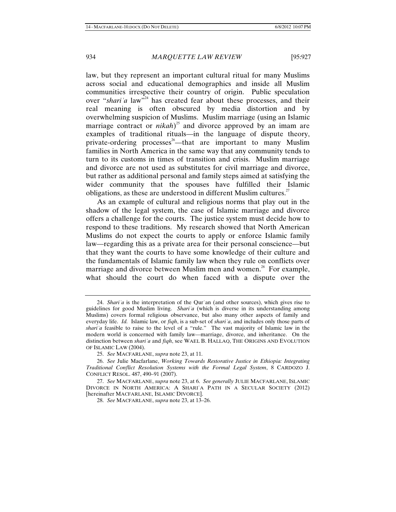law, but they represent an important cultural ritual for many Muslims across social and educational demographics and inside all Muslim communities irrespective their country of origin. Public speculation over "*shari*<sup>'</sup>*a* law<sup>724</sup> has created fear about these processes, and their real meaning is often obscured by media distortion and by overwhelming suspicion of Muslims. Muslim marriage (using an Islamic marriage contract or *nikah*)<sup>25</sup> and divorce approved by an imam are examples of traditional rituals—in the language of dispute theory, private-ordering processes<sup>26</sup>—that are important to many Muslim families in North America in the same way that any community tends to turn to its customs in times of transition and crisis. Muslim marriage and divorce are not used as substitutes for civil marriage and divorce, but rather as additional personal and family steps aimed at satisfying the wider community that the spouses have fulfilled their Islamic obligations, as these are understood in different Muslim cultures.<sup>27</sup>

As an example of cultural and religious norms that play out in the shadow of the legal system, the case of Islamic marriage and divorce offers a challenge for the courts. The justice system must decide how to respond to these traditions. My research showed that North American Muslims do not expect the courts to apply or enforce Islamic family law—regarding this as a private area for their personal conscience—but that they want the courts to have some knowledge of their culture and the fundamentals of Islamic family law when they rule on conflicts over marriage and divorce between Muslim men and women.<sup>28</sup> For example, what should the court do when faced with a dispute over the

<sup>24.</sup> *Shariʿa* is the interpretation of the Qurʾan (and other sources), which gives rise to guidelines for good Muslim living. *Shariʿa* (which is diverse in its understanding among Muslims) covers formal religious observance, but also many other aspects of family and everyday life. *Id.* Islamic law, or *fiqh*, is a sub-set of *shariʿa*, and includes only those parts of *shariʿa* feasible to raise to the level of a "rule." The vast majority of Islamic law in the modern world is concerned with family law—marriage, divorce, and inheritance. On the distinction between *shariʿa* and *fiqh*, see WAEL B. HALLAQ, THE ORIGINS AND EVOLUTION OF ISLAMIC LAW (2004).

<sup>25.</sup> *See* MACFARLANE, *supra* note 23, at 11.

<sup>26.</sup> *See* Julie Macfarlane, *Working Towards Restorative Justice in Ethiopia: Integrating Traditional Conflict Resolution Systems with the Formal Legal System*, 8 CARDOZO J. CONFLICT RESOL. 487, 490–91 (2007).

<sup>27.</sup> *See* MACFARLANE, *supra* note 23, at 6. *See generally* JULIE MACFARLANE, ISLAMIC DIVORCE IN NORTH AMERICA: A SHARIʿA PATH IN A SECULAR SOCIETY (2012) [hereinafter MACFARLANE, ISLAMIC DIVORCE].

<sup>28.</sup> *See* MACFARLANE, *supra* note 23, at 13–26.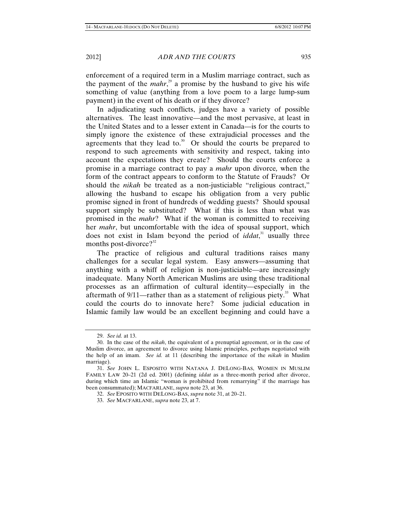enforcement of a required term in a Muslim marriage contract, such as the payment of the *mahr*<sup>29</sup> a promise by the husband to give his wife something of value (anything from a love poem to a large lump-sum payment) in the event of his death or if they divorce?

In adjudicating such conflicts, judges have a variety of possible alternatives. The least innovative—and the most pervasive, at least in the United States and to a lesser extent in Canada—is for the courts to simply ignore the existence of these extrajudicial processes and the agreements that they lead to.<sup>30</sup> Or should the courts be prepared to respond to such agreements with sensitivity and respect, taking into account the expectations they create? Should the courts enforce a promise in a marriage contract to pay a *mahr* upon divorce*,* when the form of the contract appears to conform to the Statute of Frauds? Or should the *nikah* be treated as a non-justiciable "religious contract," allowing the husband to escape his obligation from a very public promise signed in front of hundreds of wedding guests? Should spousal support simply be substituted? What if this is less than what was promised in the *mahr*? What if the woman is committed to receiving her *mahr*, but uncomfortable with the idea of spousal support, which does not exist in Islam beyond the period of *iddat*,<sup>31</sup> usually three months post-divorce? $3^{32}$ 

The practice of religious and cultural traditions raises many challenges for a secular legal system. Easy answers—assuming that anything with a whiff of religion is non-justiciable—are increasingly inadequate. Many North American Muslims are using these traditional processes as an affirmation of cultural identity—especially in the aftermath of  $9/11$ —rather than as a statement of religious piety.<sup>33</sup> What could the courts do to innovate here? Some judicial education in Islamic family law would be an excellent beginning and could have a

<sup>29.</sup> *See id.* at 13.

<sup>30.</sup> In the case of the *nikah*, the equivalent of a prenuptial agreement, or in the case of Muslim divorce, an agreement to divorce using Islamic principles, perhaps negotiated with the help of an imam. *See id.* at 11 (describing the importance of the *nikah* in Muslim marriage).

<sup>31.</sup> *See* JOHN L. ESPOSITO WITH NATANA J. DELONG-BAS, WOMEN IN MUSLIM FAMILY LAW 20–21 (2d ed. 2001) (defining *iddat* as a three-month period after divorce, during which time an Islamic "woman is prohibited from remarrying" if the marriage has been consummated); MACFARLANE, *supra* note 23, at 36.

<sup>32.</sup> *See* EPOSITO WITH DELONG-BAS, *supra* note 31, at 20–21.

<sup>33.</sup> *See* MACFARLANE, *supra* note 23, at 7.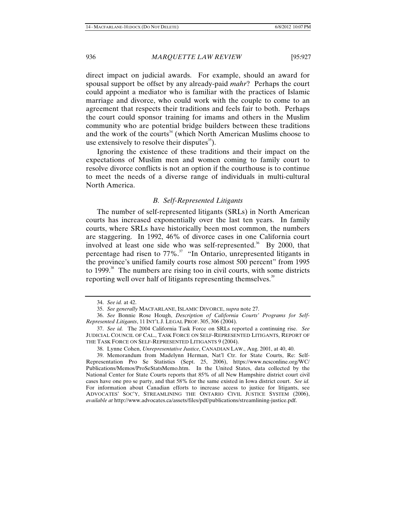direct impact on judicial awards. For example, should an award for spousal support be offset by any already-paid *mahr*? Perhaps the court could appoint a mediator who is familiar with the practices of Islamic marriage and divorce, who could work with the couple to come to an agreement that respects their traditions and feels fair to both. Perhaps the court could sponsor training for imams and others in the Muslim community who are potential bridge builders between these traditions and the work of the courts<sup>34</sup> (which North American Muslims choose to use extensively to resolve their disputes $^{35}$ ).

Ignoring the existence of these traditions and their impact on the expectations of Muslim men and women coming to family court to resolve divorce conflicts is not an option if the courthouse is to continue to meet the needs of a diverse range of individuals in multi-cultural North America.

#### *B. Self-Represented Litigants*

The number of self-represented litigants (SRLs) in North American courts has increased exponentially over the last ten years. In family courts, where SRLs have historically been most common, the numbers are staggering. In 1992, 46% of divorce cases in one California court involved at least one side who was self-represented.<sup>36</sup> By 2000, that percentage had risen to  $77\%$ <sup>37</sup> "In Ontario, unrepresented litigants in the province's unified family courts rose almost 500 percent" from 1995 to  $1999$ <sup>38</sup>. The numbers are rising too in civil courts, with some districts reporting well over half of litigants representing themselves.<sup>39</sup>

<sup>34.</sup> *See id.* at 42.

<sup>35.</sup> *See generally* MACFARLANE, ISLAMIC DIVORCE, *supra* note 27.

<sup>36.</sup> *See* Bonnie Rose Hough, *Description of California Courts' Programs for Self-Represented Litigants*, 11 INT'L J. LEGAL PROF. 305, 306 (2004).

<sup>37.</sup> *See id.* The 2004 California Task Force on SRLs reported a continuing rise. *See* JUDICIAL COUNCIL OF CAL., TASK FORCE ON SELF-REPRESENTED LITIGANTS, REPORT OF THE TASK FORCE ON SELF-REPRESENTED LITIGANTS 9 (2004).

<sup>38.</sup> Lynne Cohen, *Unrepresentative Justice*, CANADIAN LAW., Aug. 2001, at 40, 40.

<sup>39.</sup> Memorandum from Madelynn Herman, Nat'l Ctr. for State Courts, Re: Self-Representation Pro Se Statistics (Sept. 25, 2006), https://www.ncsconline.org/WC/ Publications/Memos/ProSeStatsMemo.htm. In the United States, data collected by the National Center for State Courts reports that 85% of all New Hampshire district court civil cases have one pro se party, and that 58% for the same existed in Iowa district court. *See id.* For information about Canadian efforts to increase access to justice for litigants, see ADVOCATES' SOC'Y, STREAMLINING THE ONTARIO CIVIL JUSTICE SYSTEM (2006), *available at* http://www.advocates.ca/assets/files/pdf/publications/streamlining-justice.pdf.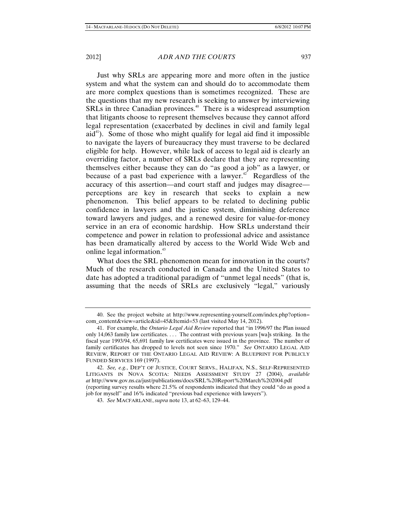Just why SRLs are appearing more and more often in the justice system and what the system can and should do to accommodate them are more complex questions than is sometimes recognized. These are the questions that my new research is seeking to answer by interviewing SRLs in three Canadian provinces.<sup>40</sup> There is a widespread assumption that litigants choose to represent themselves because they cannot afford legal representation (exacerbated by declines in civil and family legal  $aid<sup>41</sup>$ ). Some of those who might qualify for legal aid find it impossible to navigate the layers of bureaucracy they must traverse to be declared eligible for help. However, while lack of access to legal aid is clearly an overriding factor, a number of SRLs declare that they are representing themselves either because they can do "as good a job" as a lawyer, or because of a past bad experience with a lawyer.<sup>42</sup> Regardless of the accuracy of this assertion—and court staff and judges may disagree perceptions are key in research that seeks to explain a new phenomenon. This belief appears to be related to declining public confidence in lawyers and the justice system, diminishing deference toward lawyers and judges, and a renewed desire for value-for-money service in an era of economic hardship. How SRLs understand their competence and power in relation to professional advice and assistance has been dramatically altered by access to the World Wide Web and online legal information.<sup>43</sup>

What does the SRL phenomenon mean for innovation in the courts? Much of the research conducted in Canada and the United States to date has adopted a traditional paradigm of "unmet legal needs" (that is, assuming that the needs of SRLs are exclusively "legal," variously

<sup>40.</sup> See the project website at http://www.representing-yourself.com/index.php?option= com\_content&view=article&id=45&Itemid=53 (last visited May 14, 2012).

<sup>41.</sup> For example, the *Ontario Legal Aid Review* reported that "in 1996/97 the Plan issued only 14,063 family law certificates. . . . The contrast with previous years [wa]s striking. In the fiscal year 1993/94, 65,691 family law certificates were issued in the province. The number of family certificates has dropped to levels not seen since 1970." *See* ONTARIO LEGAL AID REVIEW, REPORT OF THE ONTARIO LEGAL AID REVIEW: A BLUEPRINT FOR PUBLICLY FUNDED SERVICES 169 (1997).

<sup>42.</sup> *See, e.g.*, DEP'T OF JUSTICE, COURT SERVS., HALIFAX, N.S., SELF-REPRESENTED LITIGANTS IN NOVA SCOTIA: NEEDS ASSESSMENT STUDY 27 (2004), *available at* http://www.gov.ns.ca/just/publications/docs/SRL%20Report%20March%202004.pdf (reporting survey results where 21.5% of respondents indicated that they could "do as good a job for myself" and 16% indicated "previous bad experience with lawyers").

<sup>43.</sup> *See* MACFARLANE, *supra* note 13, at 62–63, 129–44.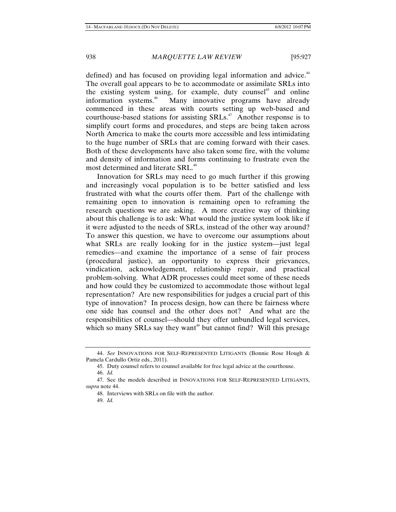defined) and has focused on providing legal information and advice.<sup>44</sup> The overall goal appears to be to accommodate or assimilate SRLs into the existing system using, for example, duty counsel<sup>45</sup> and online information systems.<sup>46</sup> Many innovative programs have already commenced in these areas with courts setting up web-based and courthouse-based stations for assisting  $SRLs<sup>47</sup>$ . Another response is to simplify court forms and procedures, and steps are being taken across North America to make the courts more accessible and less intimidating to the huge number of SRLs that are coming forward with their cases. Both of these developments have also taken some fire, with the volume and density of information and forms continuing to frustrate even the most determined and literate SRL.<sup>48</sup>

Innovation for SRLs may need to go much further if this growing and increasingly vocal population is to be better satisfied and less frustrated with what the courts offer them. Part of the challenge with remaining open to innovation is remaining open to reframing the research questions we are asking. A more creative way of thinking about this challenge is to ask: What would the justice system look like if it were adjusted to the needs of SRLs, instead of the other way around? To answer this question, we have to overcome our assumptions about what SRLs are really looking for in the justice system—just legal remedies—and examine the importance of a sense of fair process (procedural justice), an opportunity to express their grievances, vindication, acknowledgement, relationship repair, and practical problem-solving. What ADR processes could meet some of these needs and how could they be customized to accommodate those without legal representation? Are new responsibilities for judges a crucial part of this type of innovation? In process design, how can there be fairness where one side has counsel and the other does not? And what are the responsibilities of counsel—should they offer unbundled legal services, which so many SRLs say they want<sup>49</sup> but cannot find? Will this presage

<sup>44.</sup> *See* INNOVATIONS FOR SELF-REPRESENTED LITIGANTS (Bonnie Rose Hough & Pamela Cardullo Ortiz eds., 2011).

<sup>45.</sup> Duty counsel refers to counsel available for free legal advice at the courthouse. 46. *Id.* 

<sup>47.</sup> See the models described in INNOVATIONS FOR SELF-REPRESENTED LITIGANTS, *supra* note 44.

<sup>48.</sup> Interviews with SRLs on file with the author.

<sup>49.</sup> *Id.*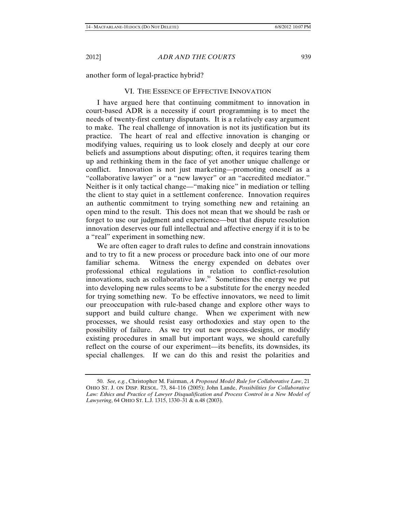another form of legal-practice hybrid?

#### VI. THE ESSENCE OF EFFECTIVE INNOVATION

I have argued here that continuing commitment to innovation in court-based ADR is a necessity if court programming is to meet the needs of twenty-first century disputants. It is a relatively easy argument to make. The real challenge of innovation is not its justification but its practice. The heart of real and effective innovation is changing or modifying values, requiring us to look closely and deeply at our core beliefs and assumptions about disputing; often, it requires tearing them up and rethinking them in the face of yet another unique challenge or conflict. Innovation is not just marketing—promoting oneself as a "collaborative lawyer" or a "new lawyer" or an "accredited mediator." Neither is it only tactical change—"making nice" in mediation or telling the client to stay quiet in a settlement conference. Innovation requires an authentic commitment to trying something new and retaining an open mind to the result. This does not mean that we should be rash or forget to use our judgment and experience—but that dispute resolution innovation deserves our full intellectual and affective energy if it is to be a "real" experiment in something new.

We are often eager to draft rules to define and constrain innovations and to try to fit a new process or procedure back into one of our more familiar schema. Witness the energy expended on debates over professional ethical regulations in relation to conflict-resolution innovations, such as collaborative law. $50$  Sometimes the energy we put into developing new rules seems to be a substitute for the energy needed for trying something new. To be effective innovators, we need to limit our preoccupation with rule-based change and explore other ways to support and build culture change. When we experiment with new processes, we should resist easy orthodoxies and stay open to the possibility of failure. As we try out new process-designs, or modify existing procedures in small but important ways, we should carefully reflect on the course of our experiment—its benefits, its downsides, its special challenges. If we can do this and resist the polarities and

<sup>50.</sup> *See, e.g.*, Christopher M. Fairman, *A Proposed Model Rule for Collaborative Law*, 21 OHIO ST. J. ON DISP. RESOL. 73, 84–116 (2005); John Lande, *Possibilities for Collaborative*  Law: Ethics and Practice of Lawyer Disqualification and Process Control in a New Model of *Lawyering*, 64 OHIO ST. L.J. 1315, 1330–31 & n.48 (2003).